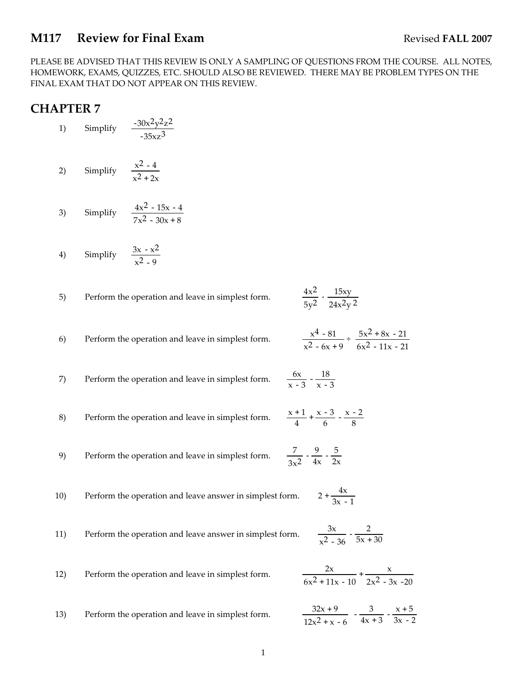#### **M117** Review for Final Exam Revised FALL 2007

PLEASE BE ADVISED THAT THIS REVIEW IS ONLY A SAMPLING OF QUESTIONS FROM THE COURSE. ALL NOTES, HOMEWORK, EXAMS, QUIZZES, ETC. SHOULD ALSO BE REVIEWED. THERE MAY BE PROBLEM TYPES ON THE FINAL EXAM THAT DO NOT APPEAR ON THIS REVIEW.

### **CHAPTER 7**

- 1) Simplify  $\frac{-30x^2y^2z^2}{x^2}$  $-35xz^3$
- 2) Simplify  $\frac{x^2-4}{2}$  $x^2 + 2x$
- 3) Simplify  $\frac{4x^2 15x 4}{x^2 15x 4}$  $7x^2 - 30x + 8$
- 4) Simplify  $\frac{3x x^2}{2}$  $x^2 - 9$
- 5) Perform the operation and leave in simplest form.  $\frac{4x^2}{5y^2} \cdot \frac{15xy}{24x^2y^2}$
- 6) Perform the operation and leave in simplest form.  $\frac{x^4 - 81}{x^2 - 6x + 9} \div \frac{5x^2 + 8x - 21}{6x^2 - 11x - 21}$  $6x^2 - 11x - 21$

 $\frac{6x}{x-3} - \frac{18}{x-3}$ 

- 8) Perform the operation and leave in simplest form.  $\frac{+1}{4}$  +  $\frac{x-3}{6}$  -  $\frac{x-2}{8}$
- 9) Perform the operation and leave in simplest form.  $\frac{7}{3x^2} - \frac{9}{4x} - \frac{5}{2x}$

7) Perform the operation and leave in simplest form.

- 10) Perform the operation and leave answer in simplest form.  $2 + \frac{4x}{3x - 1}$
- 11) Perform the operation and leave answer in simplest form.  $\frac{3x}{x^2-36} - \frac{2}{5x+30}$
- 12) Perform the operation and leave in simplest form.  $\frac{2x}{6x^2 + 11x - 10} + \frac{x}{2x^2 - 3x - 20}$ 13) Perform the operation and leave in simplest form.  $12x^2 + x - 6$  $-\frac{3}{4x+3} - \frac{x+5}{3x-2}$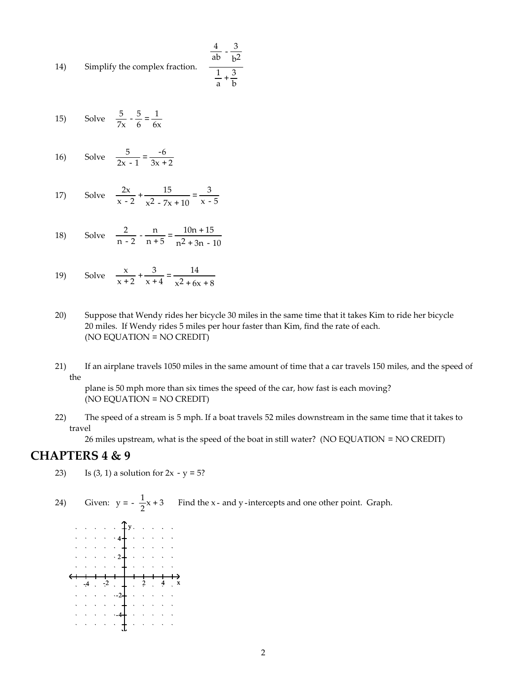14) Simplify the complex fraction.  $rac{4}{ab} - \frac{3}{b^2}$  $\frac{1}{a} + \frac{3}{b}$ 

15) Solve  $\frac{5}{7x} - \frac{5}{6} = \frac{1}{6x}$ 

16) Solve 
$$
\frac{5}{2x-1} = \frac{-6}{3x+2}
$$

17) Solve 
$$
\frac{2x}{x-2} + \frac{15}{x^2 - 7x + 10} = \frac{3}{x-5}
$$

18) Solve 
$$
\frac{2}{n-2} - \frac{n}{n+5} = \frac{10n+15}{n^2+3n-10}
$$

19) Solve 
$$
\frac{x}{x+2} + \frac{3}{x+4} = \frac{14}{x^2 + 6x + 8}
$$

- 20) Suppose that Wendy rides her bicycle 30 miles in the same time that it takes Kim to ride her bicycle 20 miles. If Wendy rides 5 miles per hour faster than Kim, find the rate of each. (NO EQUATION = NO CREDIT)
- 21) If an airplane travels 1050 miles in the same amount of time that a car travels 150 miles, and the speed of the

plane is 50 mph more than six times the speed of the car, how fast is each moving? (NO EQUATION = NO CREDIT)

22) The speed of a stream is 5 mph. If a boat travels 52 miles downstream in the same time that it takes to travel

26 miles upstream, what is the speed of the boat in still water? (NO EQUATION = NO CREDIT)

#### **CHAPTERS 4 & 9**

- 23) Is  $(3, 1)$  a solution for  $2x y = 5$ ?
- 24) Given:  $y = -\frac{1}{2}$ Find the x- and y-intercepts and one other point. Graph.

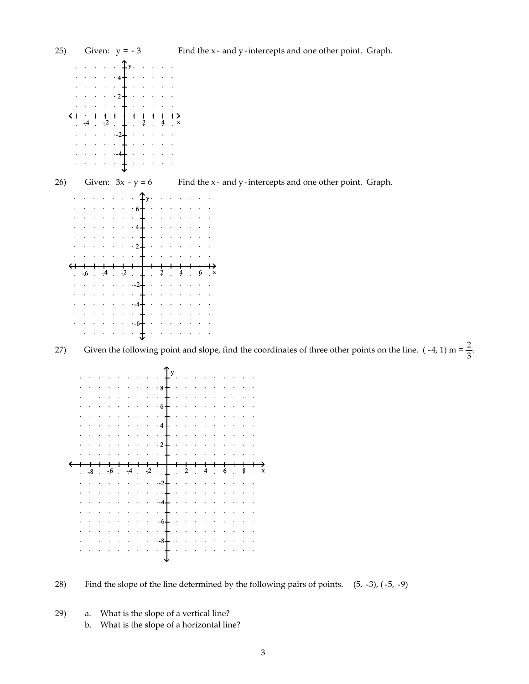







29) a. What is the slope of a vertical line? b. What is the slope of a horizontal line?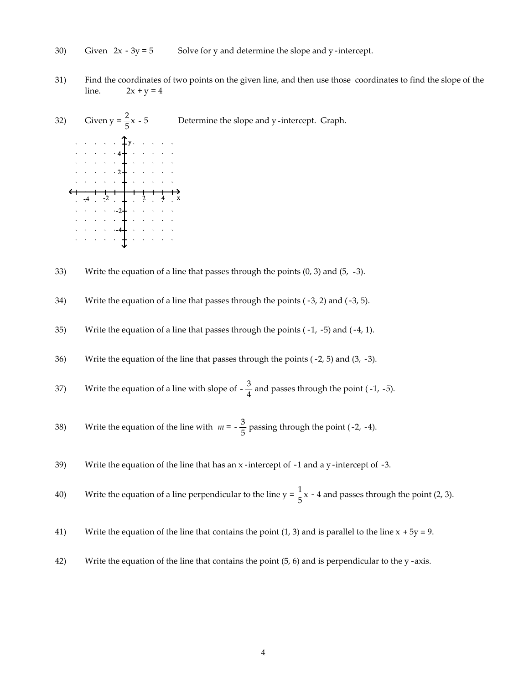- 30) Given  $2x 3y = 5$  Solve for y and determine the slope and y-intercept.
- 31) Find the coordinates of two points on the given line, and then use those coordinates to find the slope of the line.  $2x + y = 4$



- 33) Write the equation of a line that passes through the points  $(0, 3)$  and  $(5, -3)$ .
- 34) Write the equation of a line that passes through the points  $(-3, 2)$  and  $(-3, 5)$ .
- 35) Write the equation of a line that passes through the points  $(-1, -5)$  and  $(-4, 1)$ .
- 36) Write the equation of the line that passes through the points  $(-2, 5)$  and  $(3, -3)$ .
- 37) Write the equation of a line with slope of  $-\frac{3}{4}$  and passes through the point (-1, -5).
- 38) Write the equation of the line with  $m = -\frac{3}{5}$  passing through the point (-2, -4).
- 39) Write the equation of the line that has an x-intercept of -1 and a y-intercept of -3.
- 40) Write the equation of a line perpendicular to the line  $y = \frac{1}{5}x 4$  and passes through the point (2, 3).
- 41) Write the equation of the line that contains the point (1, 3) and is parallel to the line  $x + 5y = 9$ .
- 42) Write the equation of the line that contains the point  $(5, 6)$  and is perpendicular to the y-axis.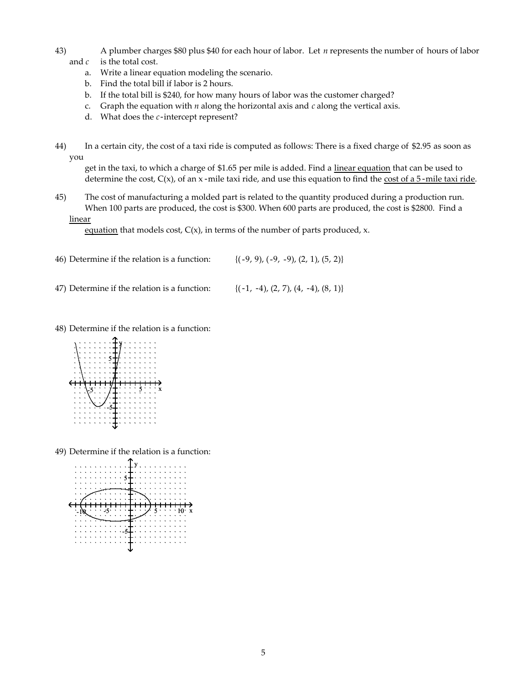- 43) A plumber charges \$80 plus \$40 for each hour of labor. Let *n* represents the number of hours of labor and *c* is the total cost.
	- a. Write a linear equation modeling the scenario.
	- b. Find the total bill if labor is 2 hours.
	- b. If the total bill is \$240, for how many hours of labor was the customer charged?
	- c. Graph the equation with *n* along the horizontal axis and *c* along the vertical axis.
	- d. What does the *c*-intercept represent?
- 44) In a certain city, the cost of a taxi ride is computed as follows: There is a fixed charge of \$2.95 as soon as you

get in the taxi, to which a charge of \$1.65 per mile is added. Find a linear equation that can be used to determine the cost,  $C(x)$ , of an x-mile taxi ride, and use this equation to find the cost of a 5-mile taxi ride.

45) The cost of manufacturing a molded part is related to the quantity produced during a production run. When 100 parts are produced, the cost is \$300. When 600 parts are produced, the cost is \$2800. Find a linear

equation that models cost,  $C(x)$ , in terms of the number of parts produced, x.

- 46) Determine if the relation is a function:  $\{(-9, 9), (-9, -9), (2, 1), (5, 2)\}$
- 47) Determine if the relation is a function:  $\{(-1, -4), (2, 7), (4, -4), (8, 1)\}$
- 48) Determine if the relation is a function:



49) Determine if the relation is a function:

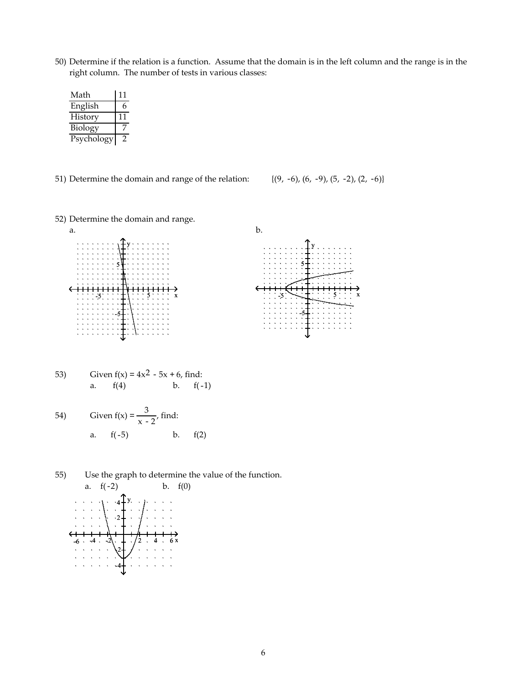50) Determine if the relation is a function. Assume that the domain is in the left column and the range is in the right column. The number of tests in various classes:

| Math       | 11 |
|------------|----|
| English    | 6  |
| History    | 11 |
| Biology    |    |
| Psychology |    |

51) Determine the domain and range of the relation:  $\{(9, -6), (6, -9), (5, -2), (2, -6)\}$ 

52) Determine the domain and range.





53) Given 
$$
f(x) = 4x^2 - 5x + 6
$$
, find:  
a.  $f(4)$  b.  $f(-1)$ 

54) Given 
$$
f(x) = \frac{3}{x-2}
$$
, find:  
a.  $f(-5)$  b.  $f(2)$ 

 $-6$   $-4$   $-2$   $\leftarrow$   $\frac{1}{2}$   $-4$   $-6x$ 

 $\sqrt{2}$ -4

55) Use the graph to determine the value of the function. a.  $f(-2)$  b.  $f(0)$  $4 + y$ 2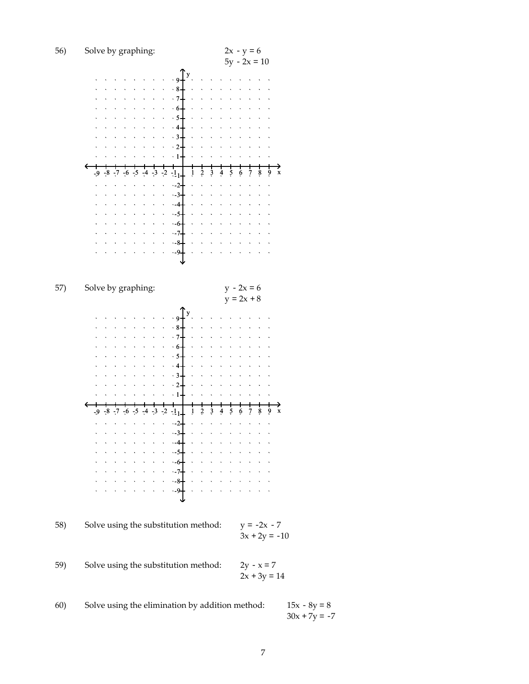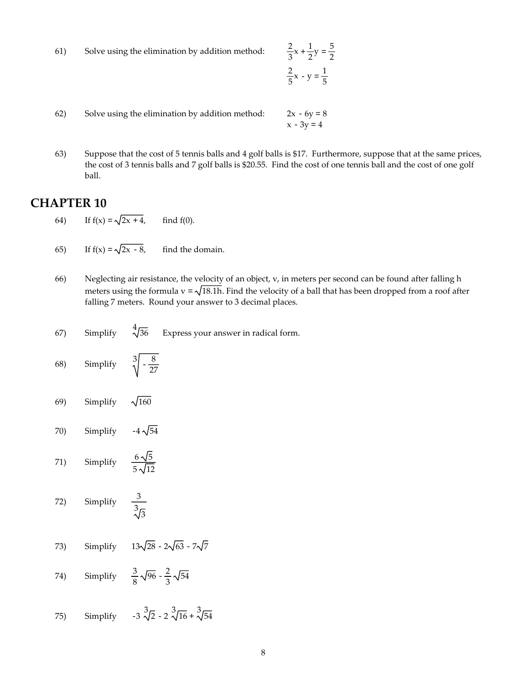61) Solve using the elimination by addition method:  $\frac{2}{3}$ 

$$
\frac{2}{3}x + \frac{1}{2}y = \frac{5}{2}
$$

$$
\frac{2}{5}x - y = \frac{1}{5}
$$

- 62) Solve using the elimination by addition method:  $2x 6y = 8$  $x - 3y = 4$
- 63) Suppose that the cost of 5 tennis balls and 4 golf balls is \$17. Furthermore, suppose that at the same prices, the cost of 3 tennis balls and 7 golf balls is \$20.55. Find the cost of one tennis ball and the cost of one golf ball.

# **CHAPTER 10**

- 64) If  $f(x) = \sqrt{2x + 4}$ , find  $f(0)$ .
- 65) If  $f(x) = \sqrt{2x 8}$ , find the domain.
- 66) Neglecting air resistance, the velocity of an object, v, in meters per second can be found after falling h meters using the formula  $v = \sqrt{18.1h}$ . Find the velocity of a ball that has been dropped from a roof after falling 7 meters. Round your answer to 3 decimal places.
- 67) Simplify  $\sqrt[4]{36}$ Express your answer in radical form.
- 68) Simplify  $\sqrt[3]{-\frac{8}{27}}$
- 69) Simplify  $\sqrt{160}$
- 70) Simplify  $-4\sqrt{54}$
- 71) Simplify  $\frac{6\sqrt{5}}{5\sqrt{12}}$
- 72) Simplify  $\sqrt[3]{3}$
- 73) Simplify  $13\sqrt{28} 2\sqrt{63} 7\sqrt{7}$
- 74) Simplify  $\frac{3}{8}\sqrt{96} - \frac{2}{3}\sqrt{54}$
- 75) Simplify  $\sqrt[3]{2}$  – 2  $\sqrt[3]{16}$  +  $\sqrt[3]{54}$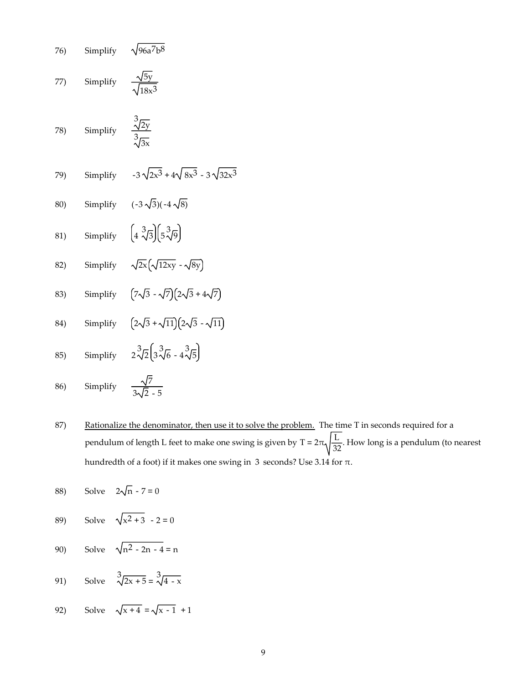76) Simplify 
$$
\sqrt{96a^7b^8}
$$
  
\n77) Simplify  $\frac{\sqrt{5y}}{\sqrt{18x^3}}$   
\n78) Simplify  $\frac{3\sqrt{2y}}{3\sqrt{3x}}$   
\n79) Simplify  $-3\sqrt{2x^3} + 4\sqrt{8x^3} - 3\sqrt{32x^3}$   
\n80) Simplify  $(-3\sqrt{3})(-4\sqrt{8})$   
\n81) Simplify  $(4\sqrt[3]{3})(5\sqrt[3]{9})$   
\n82) Simplify  $\sqrt{2x}(\sqrt{12xy} - \sqrt{8y})$   
\n83) Simplify  $(7\sqrt{3} - \sqrt{7})(2\sqrt{3} + 4\sqrt{7})$   
\n84) Simplify  $(2\sqrt{3} + \sqrt{11})(2\sqrt{3} - \sqrt{11})$   
\n85) Simplify  $2\sqrt[3]{2}(3\sqrt[3]{6} - 4\sqrt[3]{5})$   
\n86) Simplify  $\frac{\sqrt{7}}{2\sqrt{5}-5}$ 

3 2 - 5

87) Rationalize the denominator, then use it to solve the problem. The time T in seconds required for a pendulum of length L feet to make one swing is given by T =  $2\pi\sqrt{\frac{L}{32}}$ . How long is a pendulum (to nearest hundredth of a foot) if it makes one swing in 3 seconds? Use 3.14 for  $\pi$ .

88) Solve 
$$
2\sqrt{n} - 7 = 0
$$

- 89) Solve  $\sqrt{x^2 + 3} 2 = 0$
- 90) Solve  $\sqrt{n^2 2n 4} = n$
- 91) Solve  $\sqrt[3]{2x+5} = \sqrt[3]{4-x}$
- 92) Solve  $\sqrt{x + 4} = \sqrt{x 1} + 1$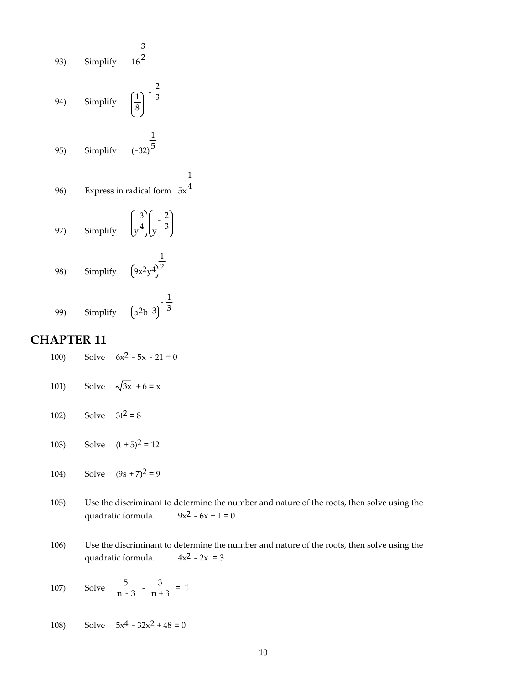93) Simplify 
$$
16^{\frac{3}{2}}
$$
  
\n94) Simplify  $\left(\frac{1}{8}\right)^{-\frac{2}{3}}$   
\n95) Simplify  $(-32)^{\frac{1}{5}}$   
\n96) Express in radical form 5x  
\n97) Simplify  $\left(\frac{3}{8}\right)\left(-\frac{2}{3}\right)$   
\n98) Simplify  $\left(9x^2y^4\right)^{\frac{1}{2}}$   
\n99) Simplify  $\left(9x^2y^4\right)^{-\frac{1}{3}}$ 

1 4

## **CHAPTER 11**

- 100) Solve  $6x^2 5x 21 = 0$
- 101) Solve  $\sqrt{3x} + 6 = x$
- 102) Solve  $3t^2 = 8$
- 103) Solve  $(t + 5)^2 = 12$
- 104) Solve  $(9s + 7)^2 = 9$
- 105) Use the discriminant to determine the number and nature of the roots, then solve using the quadratic formula.  $9x^2 6x + 1 = 0$ quadratic formula.
- 106) Use the discriminant to determine the number and nature of the roots, then solve using the quadratic formula.  $4x^2 - 2x = 3$
- 107) Solve  $\frac{5}{n-3} \frac{3}{n+3} = 1$
- 108) Solve  $5x^4 32x^2 + 48 = 0$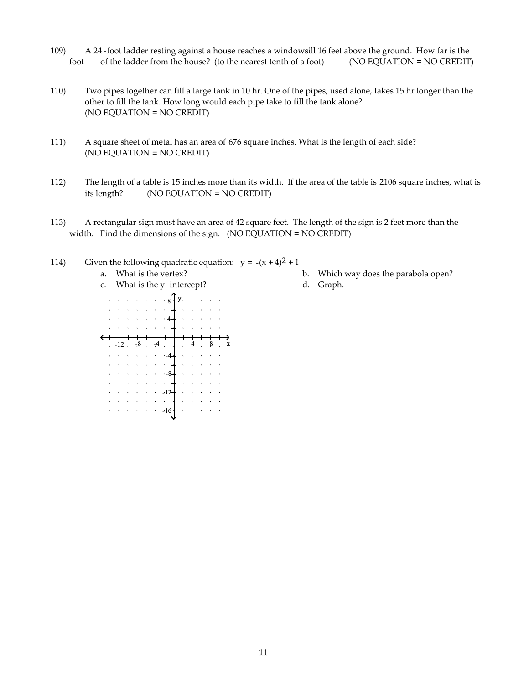- 109) A 24-foot ladder resting against a house reaches a windowsill 16 feet above the ground. How far is the foot of the ladder from the house? (to the nearest tenth of a foot) (NO EQUATION = NO CREDIT)
- 110) Two pipes together can fill a large tank in 10 hr. One of the pipes, used alone, takes 15 hr longer than the other to fill the tank. How long would each pipe take to fill the tank alone? (NO EQUATION = NO CREDIT)
- 111) A square sheet of metal has an area of 676 square inches. What is the length of each side? (NO EQUATION = NO CREDIT)
- 112) The length of a table is 15 inches more than its width. If the area of the table is 2106 square inches, what is its length? (NO EQUATION = NO CREDIT)
- 113) A rectangular sign must have an area of 42 square feet. The length of the sign is 2 feet more than the width. Find the dimensions of the sign. (NO EQUATION = NO CREDIT)
- 114) Given the following quadratic equation:  $y = -(x + 4)^2 + 1$ 
	-
	- c. What is the y-intercept? d. Graph.



- a. What is the vertex? b. Which way does the parabola open?
	-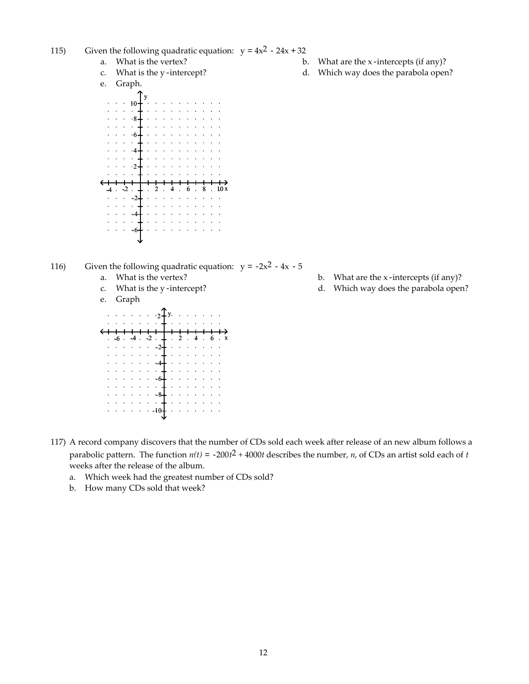- 115) Given the following quadratic equation:  $y = 4x^2 24x + 32$ 
	-
	-
	- e. Graph.
	- y 10 8  $\mathcal{A}$  $\cdot 6$  $\cdot$  $\Delta$  $\cdot$ <sub>2</sub>  $-4$   $-2$   $-4$   $-2$   $4$   $-6$   $-8$   $-10x$  $\cdot$  -2 -4  $\ddot{\phantom{a}}$ -6

116) Given the following quadratic equation:  $y = -2x^2 - 4x - 5$ 

- 
- 
- e. Graph

| $2^{\circ}$ |  |  |  |  |  |  |           |  |                      |   |  |  |   |  |   |
|-------------|--|--|--|--|--|--|-----------|--|----------------------|---|--|--|---|--|---|
|             |  |  |  |  |  |  |           |  |                      |   |  |  |   |  |   |
|             |  |  |  |  |  |  |           |  |                      |   |  |  |   |  |   |
|             |  |  |  |  |  |  |           |  |                      |   |  |  |   |  |   |
|             |  |  |  |  |  |  | $\cdot$ 4 |  | $\ddot{\phantom{1}}$ | 2 |  |  | 6 |  | X |
|             |  |  |  |  |  |  | -24       |  |                      |   |  |  |   |  |   |
|             |  |  |  |  |  |  |           |  |                      |   |  |  |   |  |   |
|             |  |  |  |  |  |  |           |  |                      |   |  |  |   |  |   |
|             |  |  |  |  |  |  |           |  |                      |   |  |  |   |  |   |
|             |  |  |  |  |  |  |           |  |                      |   |  |  |   |  |   |
|             |  |  |  |  |  |  |           |  |                      |   |  |  |   |  |   |
|             |  |  |  |  |  |  |           |  |                      |   |  |  |   |  |   |
|             |  |  |  |  |  |  |           |  |                      |   |  |  |   |  |   |
|             |  |  |  |  |  |  |           |  |                      |   |  |  |   |  |   |
|             |  |  |  |  |  |  |           |  |                      |   |  |  |   |  |   |

- a. What is the vertex? b. What are the x-intercepts (if any)?
- c. What is the y-intercept? d. Which way does the parabola open?

- a. What is the vertex? b. What are the x-intercepts (if any)?
- c. What is the y-intercept? d. Which way does the parabola open?

- 117) A record company discovers that the number of CDs sold each week after release of an new album follows a parabolic pattern. The function  $n(t) = -200t^2 + 4000t$  describes the number, *n*, of CDs an artist sold each of *t* weeks after the release of the album.
	- a. Which week had the greatest number of CDs sold?
	- b. How many CDs sold that week?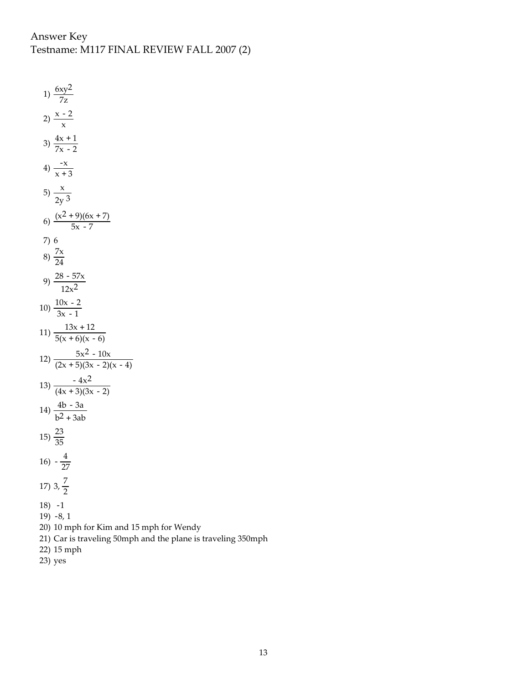Answer Key Testname: M117 FINAL REVIEW FALL 2007 (2)

1)  $\frac{6xy^2}{7z}$ 2)  $\frac{x-2}{x}$ 3)  $\frac{4x+1}{7x-2}$ 4)  $\frac{-x}{x+3}$ 5)  $\frac{x}{1}$ 2y 3 6)  $\frac{(x^2 + 9)(6x + 7)}{5x - 7}$ 7) 6 8)  $\frac{7x}{24}$ 9)  $\frac{28-57x}{2}$  $12x^2$ 10)  $\frac{10x-2}{3x-1}$ 11)  $\frac{13x + 12}{5(x + 6)(x - 6)}$ 12)  $\frac{5x^2 - 10x}{(2x + 5)(3x - 2)(x - 4)}$ 13)  $\frac{-4x^2}{(4x+3)(3x-2)}$ 14)  $\frac{4b-3a}{2a}$  $b^2 + 3ab$  $15\frac{23}{35}$  $16) -\frac{4}{27}$ 17)  $3, \frac{7}{2}$ 18) -1 19) -8, 1 20) 10 mph for Kim and 15 mph for Wendy 21) Car is traveling 50mph and the plane is traveling 350mph 22) 15 mph

23) yes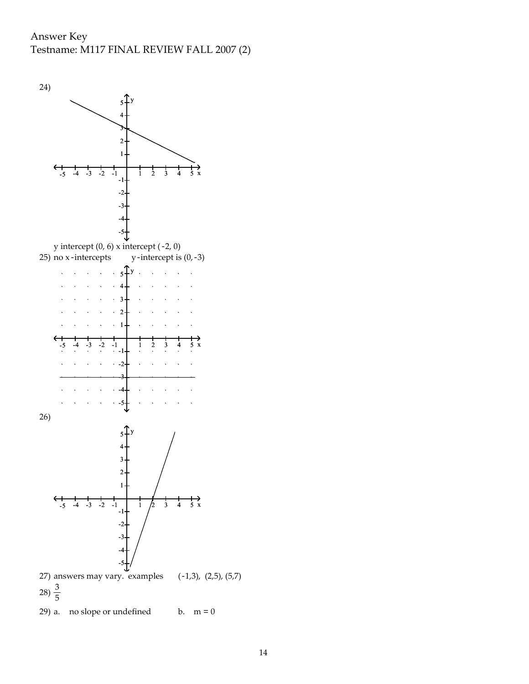Answer Key Testname: M117 FINAL REVIEW FALL 2007 (2)

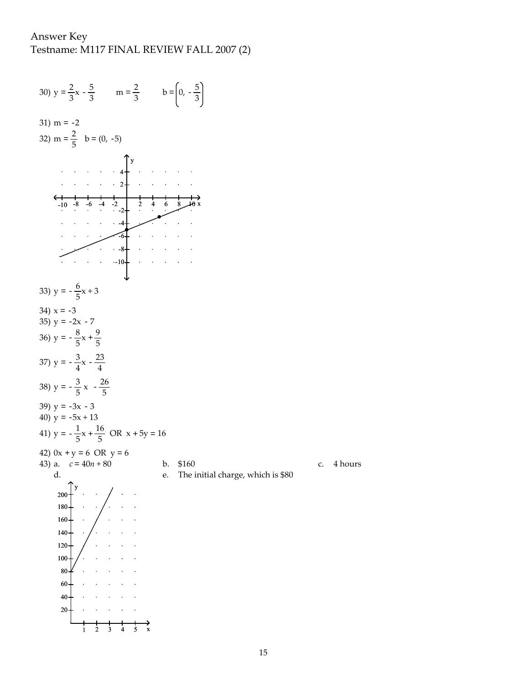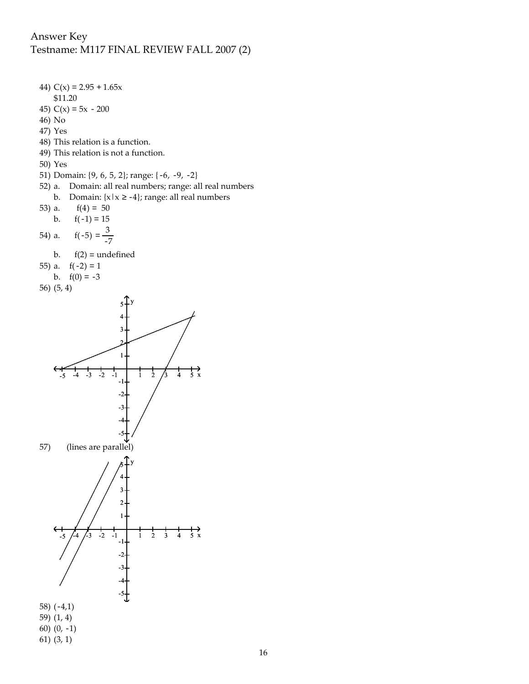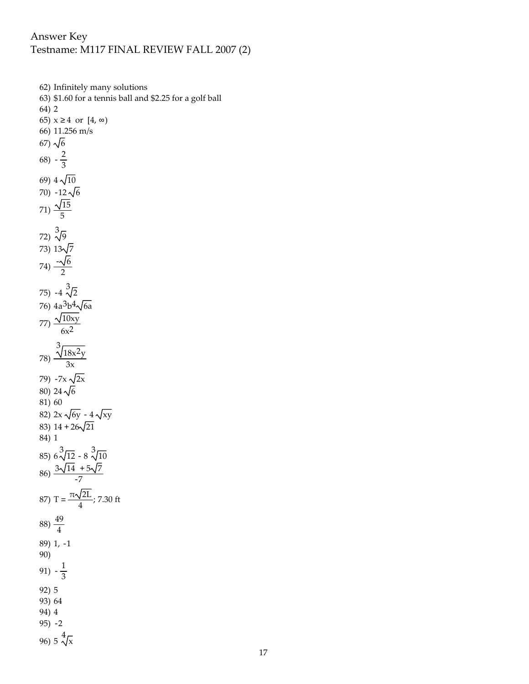62) Infinitely many solutions 63) \$1.60 for a tennis ball and \$2.25 for a golf ball 64) 2 65) x 4 or [4, ) 66) 11.256 m/s 67)  $\sqrt{6}$ 68)  $-\frac{2}{3}$ 69)  $4\sqrt{10}$ 70)  $-12\sqrt{6}$ 71)  $\frac{\sqrt{15}}{5}$ 72) 3 9 73)  $13\sqrt{7}$ 74)  $\frac{-\sqrt{6}}{2}$ 75) -4  $\sqrt[3]{2}$ 76) 4a<sup>3</sup>b<sup>4</sup>√6a 77)  $\frac{\sqrt{10xy}}{2}$  $6x^2$ 78) 3<br>18x<sup>2</sup>y 3x 79)  $-7x \sqrt{2x}$ 80) 24 $\sqrt{6}$ 81) 60 82)  $2x\sqrt{6y} - 4\sqrt{xy}$ 83)  $14 + 26\sqrt{21}$ 84) 1 85)  $6\sqrt[3]{12} - 8\sqrt[3]{10}$  $86) \frac{3\sqrt{14} + 5\sqrt{7}}{-7}$ 87) T =  $\frac{\pi\sqrt{2L}}{4}$ ; 7.30 ft  $(88)\frac{49}{4}$ 89) 1, -1 90) 91)  $-\frac{1}{3}$ 92) 5 93) 64 94) 4 95) -2 96) 5  $\sqrt[4]{x}$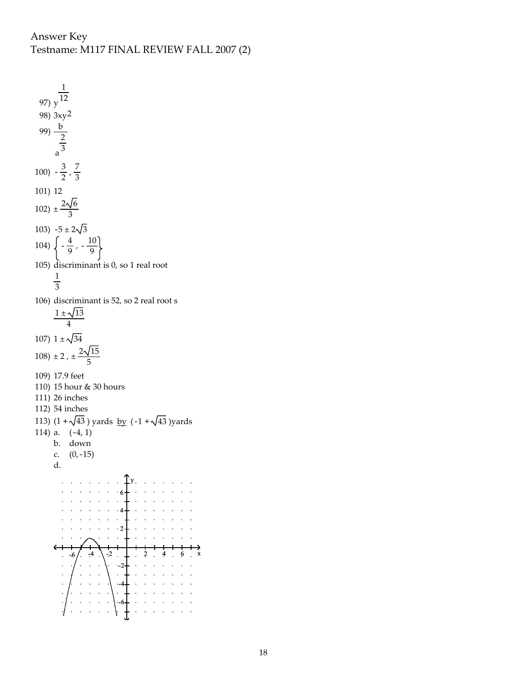1 12 97) y 98) 3xy2 99)  $\frac{b}{2}$ 2 3 a 100)  $-\frac{3}{2}$ ,  $\frac{7}{3}$ 101) 12 102)  $\pm \frac{2\sqrt{6}}{3}$ 103)  $-5 \pm 2\sqrt{3}$ 104)  $\left\{-\frac{4}{9}, -\frac{10}{9}\right\}$ 105) discriminant is 0, so 1 real root 1 3 106) discriminant is 52, so 2 real root s  $1 \pm \sqrt{13}$ 4 107)  $1 \pm \sqrt{34}$ 108)  $\pm 2$ ,  $\pm \frac{2\sqrt{15}}{5}$ 109) 17.9 feet 110) 15 hour & 30 hours 111) 26 inches 112) 54 inches 113)  $(1 + \sqrt{43})$  yards by  $(-1 + \sqrt{43})$  yards 114) a. (-4, 1) b. down c. (0,-15) d. y 6  $\cdot$  4  $\ddot{\phantom{a}}$  $\cdot$  2  $-4$   $-2$   $-4$   $-2$   $4$ ÷.  $\cdot$ -2 -4 -6